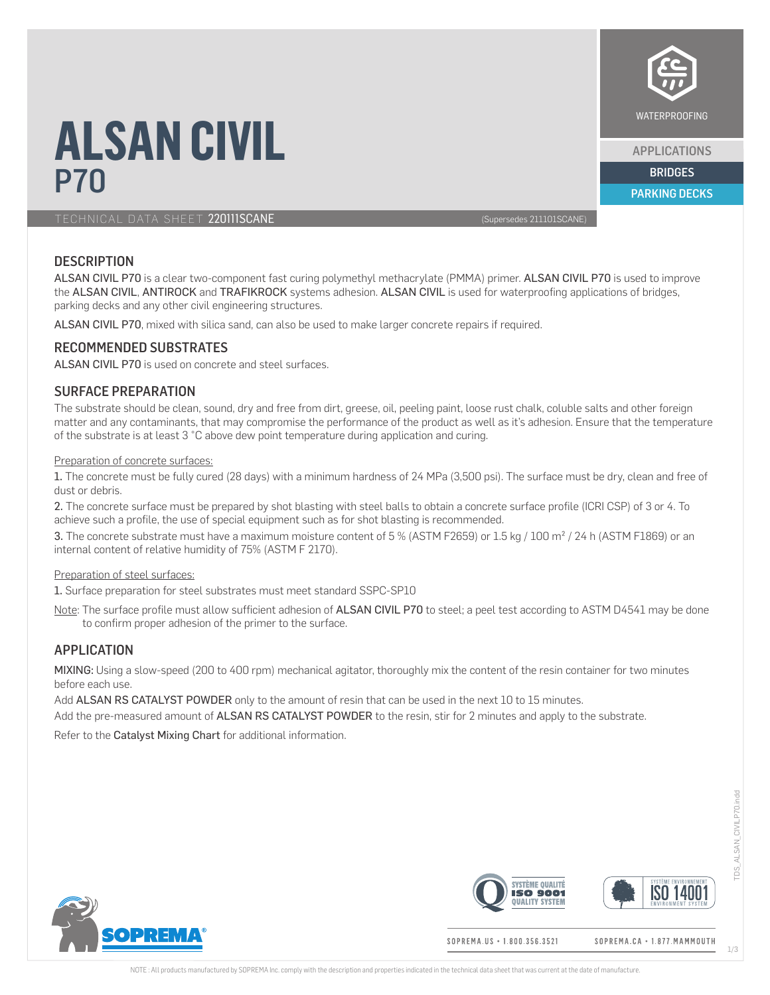

APPLICATIONS

PARKING DECKS

# **ALSAN CIVIL** <u>P70 BRIDGES (September 2008), and the second second second second second second second second second second se<br>Excess of the second second second second second second second second second second second second second secon</u>

TECHNICAL DATA SHEET 220111SCANE (Supersedes 211101SCANE)

# **DESCRIPTION**

ALSAN CIVIL P70 is a clear two-component fast curing polymethyl methacrylate (PMMA) primer. ALSAN CIVIL P70 is used to improve the ALSAN CIVIL, ANTIROCK and TRAFIKROCK systems adhesion. ALSAN CIVIL is used for waterproofing applications of bridges, parking decks and any other civil engineering structures.

ALSAN CIVIL P70, mixed with silica sand, can also be used to make larger concrete repairs if required.

# RECOMMENDED SUBSTRATES

ALSAN CIVIL P70 is used on concrete and steel surfaces.

# SURFACE PREPARATION

The substrate should be clean, sound, dry and free from dirt, greese, oil, peeling paint, loose rust chalk, coluble salts and other foreign matter and any contaminants, that may compromise the performance of the product as well as it's adhesion. Ensure that the temperature of the substrate is at least 3 °C above dew point temperature during application and curing.

#### Preparation of concrete surfaces:

1. The concrete must be fully cured (28 days) with a minimum hardness of 24 MPa (3,500 psi). The surface must be dry, clean and free of dust or debris.

2. The concrete surface must be prepared by shot blasting with steel balls to obtain a concrete surface profile (ICRI CSP) of 3 or 4. To achieve such a profile, the use of special equipment such as for shot blasting is recommended.

3. The concrete substrate must have a maximum moisture content of 5 % (ASTM F2659) or 1.5 kg / 100 m² / 24 h (ASTM F1869) or an internal content of relative humidity of 75% (ASTM F 2170).

## Preparation of steel surfaces:

1. Surface preparation for steel substrates must meet standard SSPC-SP10

Note: The surface profile must allow sufficient adhesion of ALSAN CIVIL P70 to steel; a peel test according to ASTM D4541 may be done to confirm proper adhesion of the primer to the surface.

# APPLICATION

MIXING: Using a slow-speed (200 to 400 rpm) mechanical agitator, thoroughly mix the content of the resin container for two minutes before each use.

Add ALSAN RS CATALYST POWDER only to the amount of resin that can be used in the next 10 to 15 minutes.

Add the pre-measured amount of ALSAN RS CATALYST POWDER to the resin, stir for 2 minutes and apply to the substrate.

Refer to the Catalyst Mixing Chart for additional information.



SOPREMA.US + 1.800.356.3521



SOPREMA.CA · 1.877. MAMMOUTH



TDS\_ALSAN\_CIVILP70.indd

ps

ALSAN CIVILP70.indd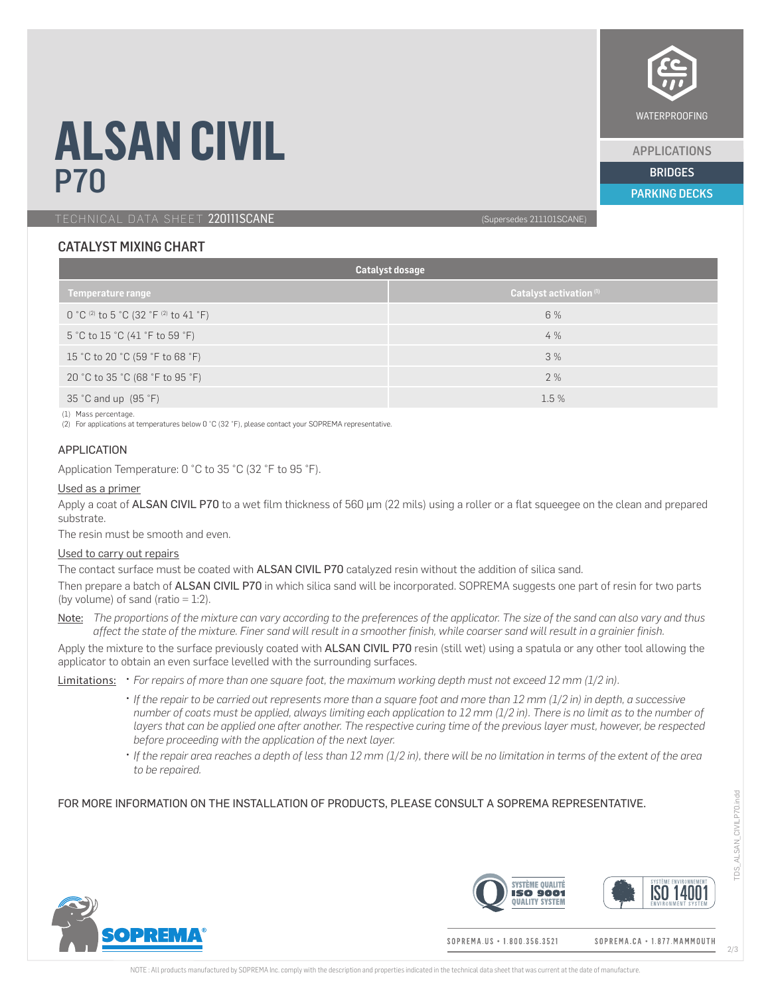

APPLICATIONS

PARKING DECKS

# **ALSAN CIVIL** <u>P70 BRIDGES (September 2008), and the second second second second second second second second second second se<br>Excess of the second second second second second second second second second second second second second secon</u>

TECHNICAL DATA SHEET 220111SCANE (Supersedes 211101SCANE)

# CATALYST MIXING CHART

| Catalyst dosage                         |                                    |  |  |  |
|-----------------------------------------|------------------------------------|--|--|--|
| <b>Temperature range</b>                | Catalyst activation <sup>(1)</sup> |  |  |  |
| $0 °C$ (2) to 5 °C (32 °F (2) to 41 °F) | 6 %                                |  |  |  |
| 5 °C to 15 °C (41 °F to 59 °F)          | 4 %                                |  |  |  |
| 15 °C to 20 °C (59 °F to 68 °F)         | 3%                                 |  |  |  |
| 20 °C to 35 °C (68 °F to 95 °F)         | 2 %                                |  |  |  |
| 35 °C and up $(95 \degree F)$           | 1.5%                               |  |  |  |

(1) Mass percentage.

(2) For applications at temperatures below 0 °C (32 °F), please contact your SOPREMA representative.

#### APPLICATION

Application Temperature: 0 °C to 35 °C (32 °F to 95 °F).

#### Used as a primer

Apply a coat of ALSAN CIVIL P70 to a wet film thickness of 560 µm (22 mils) using a roller or a flat squeeqee on the clean and prepared substrate.

The resin must be smooth and even.

#### Used to carry out repairs

The contact surface must be coated with ALSAN CIVIL P70 catalyzed resin without the addition of silica sand.

Then prepare a batch of ALSAN CIVIL P70 in which silica sand will be incorporated. SOPREMA suggests one part of resin for two parts (by volume) of sand (ratio  $= 1:2$ ).

Note: *The proportions of the mixture can vary according to the preferences of the applicator. The size of the sand can also vary and thus affect the state of the mixture. Finer sand will result in a smoother finish, while coarser sand will result in a grainier finish.*

Apply the mixture to the surface previously coated with ALSAN CIVIL P70 resin (still wet) using a spatula or any other tool allowing the applicator to obtain an even surface levelled with the surrounding surfaces.

Limitations: • *For repairs of more than one square foot, the maximum working depth must not exceed 12 mm (1/2 in).*

- *If the repair to be carried out represents more than a square foot and more than 12 mm (1/2 in) in depth, a successive number of coats must be applied, always limiting each application to 12 mm (1/2 in). There is no limit as to the number of layers that can be applied one after another. The respective curing time of the previous layer must, however, be respected before proceeding with the application of the next layer.*
- *If the repair area reaches a depth of less than 12 mm (1/2 in), there will be no limitation in terms of the extent of the area to be repaired.*

## FOR MORE INFORMATION ON THE INSTALLATION OF PRODUCTS, PLEASE CONSULT A SOPREMA REPRESENTATIVE.





SOPREMA. IIS . 1.800.356.3521

SOPREMA.CA · 1.877. MAMMOUTH

TDS\_ALSAN\_CIVILP70.indd

r<sub>DS</sub>

ALSAN CIVILP70.indd